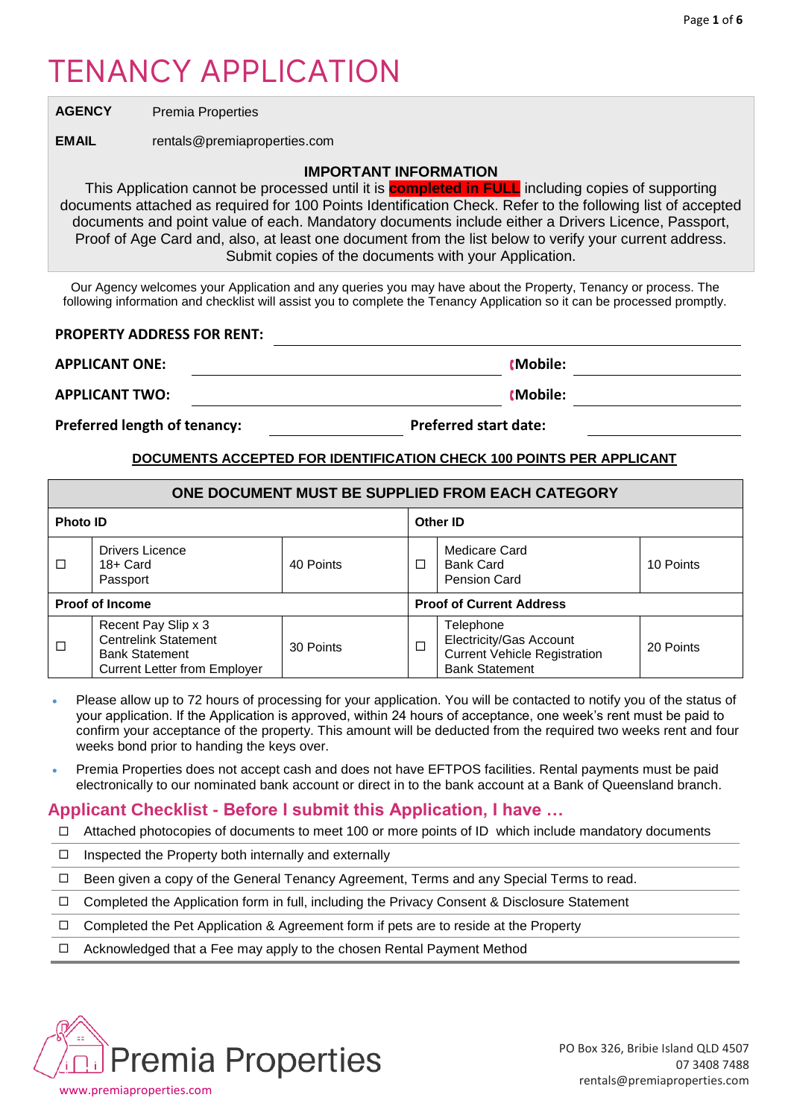# TENANCY APPLICATION

**AGENCY** Premia Properties

**EMAIL** rentals@premiaproperties.com

## **IMPORTANT INFORMATION**

This Application cannot be processed until it is **completed in FULL** including copies of supporting documents attached as required for 100 Points Identification Check. Refer to the following list of accepted documents and point value of each. Mandatory documents include either a Drivers Licence, Passport, Proof of Age Card and, also, at least one document from the list below to verify your current address. Submit copies of the documents with your Application.

Our Agency welcomes your Application and any queries you may have about the Property, Tenancy or process. The following information and checklist will assist you to complete the Tenancy Application so it can be processed promptly.

## **PROPERTY ADDRESS FOR RENT:**

**APPLICANT ONE: Mobile:**

**APPLICANT TWO: Mobile:**

**Preferred length of tenancy: Preferred start date:** 

## **DOCUMENTS ACCEPTED FOR IDENTIFICATION CHECK 100 POINTS PER APPLICANT**

# **ONE DOCUMENT MUST BE SUPPLIED FROM EACH CATEGORY**

| <b>Photo ID</b>        |                                                                                                                    |           | Other ID                        |                                                                                                      |           |
|------------------------|--------------------------------------------------------------------------------------------------------------------|-----------|---------------------------------|------------------------------------------------------------------------------------------------------|-----------|
| $\Box$                 | <b>Drivers Licence</b><br>$18 +$ Card<br>Passport                                                                  | 40 Points | □                               | Medicare Card<br>Bank Card<br>Pension Card                                                           | 10 Points |
| <b>Proof of Income</b> |                                                                                                                    |           | <b>Proof of Current Address</b> |                                                                                                      |           |
| □                      | Recent Pay Slip x 3<br><b>Centrelink Statement</b><br><b>Bank Statement</b><br><b>Current Letter from Employer</b> | 30 Points | $\Box$                          | Telephone<br>Electricity/Gas Account<br><b>Current Vehicle Registration</b><br><b>Bank Statement</b> | 20 Points |

- Please allow up to 72 hours of processing for your application. You will be contacted to notify you of the status of your application. If the Application is approved, within 24 hours of acceptance, one week's rent must be paid to confirm your acceptance of the property. This amount will be deducted from the required two weeks rent and four weeks bond prior to handing the keys over.
- Premia Properties does not accept cash and does not have EFTPOS facilities. Rental payments must be paid electronically to our nominated bank account or direct in to the bank account at a Bank of Queensland branch.

# **Applicant Checklist - Before I submit this Application, I have …**

- $\Box$  Attached photocopies of documents to meet 100 or more points of ID which include mandatory documents
- $\Box$  Inspected the Property both internally and externally
- $\Box$  Been given a copy of the General Tenancy Agreement, Terms and any Special Terms to read.
- $\Box$  Completed the Application form in full, including the Privacy Consent & Disclosure Statement
- $\Box$  Completed the Pet Application & Agreement form if pets are to reside at the Property
- $\Box$  Acknowledged that a Fee may apply to the chosen Rental Payment Method

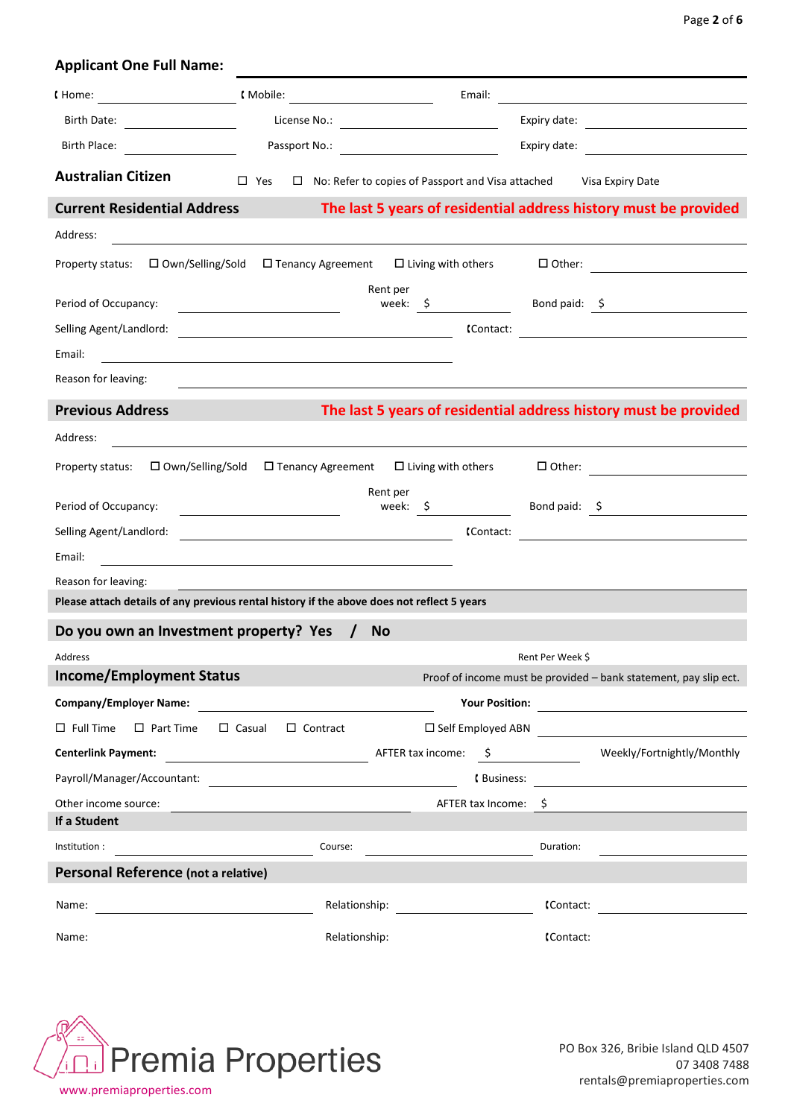| <b>Applicant One Full Name:</b>                                                            |                                                                                                                      |                                                                           |                  |                                                                                                                      |
|--------------------------------------------------------------------------------------------|----------------------------------------------------------------------------------------------------------------------|---------------------------------------------------------------------------|------------------|----------------------------------------------------------------------------------------------------------------------|
|                                                                                            |                                                                                                                      | Email:                                                                    |                  |                                                                                                                      |
|                                                                                            |                                                                                                                      |                                                                           |                  | Expiry date:                                                                                                         |
| <b>Birth Place:</b>                                                                        | Passport No.:                                                                                                        | <u> 1990 - Johann Barbara, martin d</u>                                   | Expiry date:     | <u> 1980 - Jan Barbara Barat, prima a popular popular popular popular popular popular popular popular popular po</u> |
| <b>Australian Citizen</b>                                                                  | $\square$ Yes                                                                                                        | $\Box$ No: Refer to copies of Passport and Visa attached Visa Expiry Date |                  |                                                                                                                      |
| <b>Current Residential Address</b>                                                         |                                                                                                                      |                                                                           |                  | The last 5 years of residential address history must be provided                                                     |
| Address:                                                                                   |                                                                                                                      |                                                                           |                  |                                                                                                                      |
| Property status: □ Own/Selling/Sold                                                        | $\Box$ Tenancy Agreement $\Box$ Living with others                                                                   |                                                                           |                  | $\Box$ Other: $\qquad \qquad \qquad \qquad$                                                                          |
|                                                                                            |                                                                                                                      | Rent per                                                                  |                  |                                                                                                                      |
| Period of Occupancy:                                                                       |                                                                                                                      |                                                                           |                  | week: $\zeta$ Bond paid: $\zeta$                                                                                     |
| Selling Agent/Landlord:                                                                    |                                                                                                                      |                                                                           |                  |                                                                                                                      |
| Email:                                                                                     | <u> 1989 - Johann Stein, marwolaethau a bhann an t-Amhair an t-Amhair an t-Amhair an t-Amhair an t-Amhair an t-A</u> |                                                                           |                  |                                                                                                                      |
| Reason for leaving:                                                                        |                                                                                                                      |                                                                           |                  |                                                                                                                      |
| <b>Previous Address</b>                                                                    |                                                                                                                      |                                                                           |                  | The last 5 years of residential address history must be provided                                                     |
| Address:                                                                                   |                                                                                                                      |                                                                           |                  |                                                                                                                      |
| Property status: □ Own/Selling/Sold                                                        | □ Tenancy Agreement                                                                                                  | $\Box$ Living with others                                                 |                  | $\Box$ Other:                                                                                                        |
|                                                                                            |                                                                                                                      | Rent per                                                                  |                  |                                                                                                                      |
| Period of Occupancy:                                                                       |                                                                                                                      |                                                                           |                  | week: \$ Bond paid: \$                                                                                               |
| Selling Agent/Landlord:                                                                    | <u> Alexandria de la contrada de la contrada de la contrada de la contrada de la contrada de la contrada de la c</u> | (Contact:                                                                 |                  |                                                                                                                      |
| Email:<br>Reason for leaving:                                                              |                                                                                                                      |                                                                           |                  |                                                                                                                      |
| Please attach details of any previous rental history if the above does not reflect 5 years |                                                                                                                      |                                                                           |                  |                                                                                                                      |
| Do you own an Investment property? Yes                                                     | <b>No</b>                                                                                                            |                                                                           |                  |                                                                                                                      |
| Address                                                                                    |                                                                                                                      |                                                                           | Rent Per Week \$ |                                                                                                                      |
| <b>Income/Employment Status</b>                                                            |                                                                                                                      |                                                                           |                  | Proof of income must be provided - bank statement, pay slip ect.                                                     |
| Company/Employer Name:                                                                     |                                                                                                                      |                                                                           |                  |                                                                                                                      |
| $\Box$ Full Time $\Box$ Part Time                                                          | $\Box$ Casual $\Box$ Contract                                                                                        |                                                                           |                  |                                                                                                                      |
| <b>Centerlink Payment:</b>                                                                 |                                                                                                                      |                                                                           |                  |                                                                                                                      |
| Payroll/Manager/Accountant:                                                                |                                                                                                                      |                                                                           |                  |                                                                                                                      |
| Other income source:                                                                       |                                                                                                                      | AFTER tax Income: \$                                                      |                  |                                                                                                                      |
| If a Student                                                                               |                                                                                                                      |                                                                           |                  |                                                                                                                      |
| Institution :                                                                              | Course:                                                                                                              |                                                                           | Duration:        |                                                                                                                      |
| Personal Reference (not a relative)                                                        |                                                                                                                      |                                                                           |                  |                                                                                                                      |
| Name:                                                                                      | Relationship:                                                                                                        |                                                                           | (Contact:        | <u> 1989 - Jan Samuel Barbara, politik eta politik eta politik eta politik eta politik eta politik eta politik e</u> |
| Name:                                                                                      | Relationship:                                                                                                        |                                                                           | (Contact:        |                                                                                                                      |

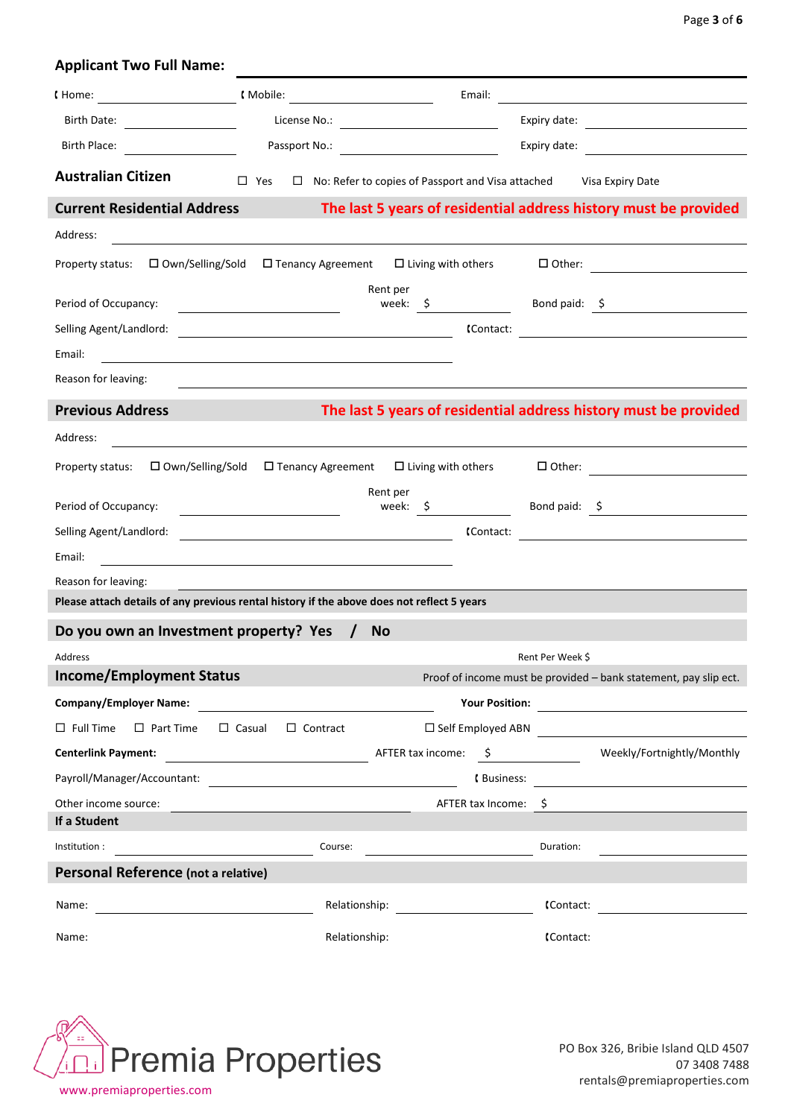| <b>Applicant Two Full Name:</b>                                                            |                                                                                                                      |                                                                           |                  |                                                                                                                                                                                                                                                                                                                                                                                |
|--------------------------------------------------------------------------------------------|----------------------------------------------------------------------------------------------------------------------|---------------------------------------------------------------------------|------------------|--------------------------------------------------------------------------------------------------------------------------------------------------------------------------------------------------------------------------------------------------------------------------------------------------------------------------------------------------------------------------------|
|                                                                                            |                                                                                                                      | Email:                                                                    |                  |                                                                                                                                                                                                                                                                                                                                                                                |
|                                                                                            |                                                                                                                      |                                                                           |                  | Expiry date:                                                                                                                                                                                                                                                                                                                                                                   |
| Birth Place:                                                                               |                                                                                                                      |                                                                           | Expiry date:     | <u> 1989 - Jan Samuel Barbara, politik eta politik eta politik eta politik eta politik eta politik eta politik e</u>                                                                                                                                                                                                                                                           |
| <b>Australian Citizen</b>                                                                  | $\square$ Yes                                                                                                        | $\Box$ No: Refer to copies of Passport and Visa attached Visa Expiry Date |                  |                                                                                                                                                                                                                                                                                                                                                                                |
| <b>Current Residential Address</b>                                                         |                                                                                                                      |                                                                           |                  | The last 5 years of residential address history must be provided                                                                                                                                                                                                                                                                                                               |
| Address:                                                                                   |                                                                                                                      |                                                                           |                  |                                                                                                                                                                                                                                                                                                                                                                                |
| Property status: □ Own/Selling/Sold                                                        | $\square$ Tenancy Agreement $\square$ Living with others                                                             |                                                                           |                  | $\Box$ Other: $\qquad \qquad \qquad \qquad$                                                                                                                                                                                                                                                                                                                                    |
|                                                                                            |                                                                                                                      | Rent per                                                                  |                  |                                                                                                                                                                                                                                                                                                                                                                                |
| Period of Occupancy:                                                                       |                                                                                                                      |                                                                           |                  | week: \$ Bond paid: \$                                                                                                                                                                                                                                                                                                                                                         |
| Selling Agent/Landlord:                                                                    |                                                                                                                      |                                                                           |                  |                                                                                                                                                                                                                                                                                                                                                                                |
| Email:                                                                                     | <u> 1980 - Johann Stein, fransk politik (f. 1980)</u>                                                                |                                                                           |                  |                                                                                                                                                                                                                                                                                                                                                                                |
| Reason for leaving:                                                                        |                                                                                                                      |                                                                           |                  |                                                                                                                                                                                                                                                                                                                                                                                |
| <b>Previous Address</b>                                                                    |                                                                                                                      |                                                                           |                  | The last 5 years of residential address history must be provided                                                                                                                                                                                                                                                                                                               |
| Address:                                                                                   |                                                                                                                      |                                                                           |                  |                                                                                                                                                                                                                                                                                                                                                                                |
| Property status: □ Own/Selling/Sold                                                        | □ Tenancy Agreement                                                                                                  | $\Box$ Living with others                                                 |                  | $\begin{tabular}{ c c c } \hline \rule{.8cm}{.4cm} \rule{.8cm}{.4cm} \rule{.8cm}{.4cm} \rule{.8cm}{.4cm} \rule{.8cm}{.4cm} \rule{.8cm}{.4cm} \rule{.8cm}{.4cm} \rule{.8cm}{.4cm} \rule{.8cm}{.4cm} \rule{.8cm}{.4cm} \rule{.8cm}{.4cm} \rule{.8cm}{.4cm} \rule{.8cm}{.4cm} \rule{.8cm}{.4cm} \rule{.8cm}{.4cm} \rule{.8cm}{.4cm} \rule{.8cm}{.4cm} \rule{.8cm}{.4cm} \rule{.8$ |
| Period of Occupancy:                                                                       |                                                                                                                      | Rent per                                                                  |                  | week: \$ Bond paid: \$                                                                                                                                                                                                                                                                                                                                                         |
| Selling Agent/Landlord:                                                                    |                                                                                                                      | (Contact:                                                                 |                  |                                                                                                                                                                                                                                                                                                                                                                                |
| Email:                                                                                     | <u> Alexandria de la contrada de la contrada de la contrada de la contrada de la contrada de la contrada de la c</u> |                                                                           |                  |                                                                                                                                                                                                                                                                                                                                                                                |
| Reason for leaving:                                                                        |                                                                                                                      |                                                                           |                  |                                                                                                                                                                                                                                                                                                                                                                                |
| Please attach details of any previous rental history if the above does not reflect 5 years |                                                                                                                      |                                                                           |                  |                                                                                                                                                                                                                                                                                                                                                                                |
| Do you own an Investment property? Yes                                                     | <b>No</b>                                                                                                            |                                                                           |                  |                                                                                                                                                                                                                                                                                                                                                                                |
| Address                                                                                    |                                                                                                                      |                                                                           | Rent Per Week \$ |                                                                                                                                                                                                                                                                                                                                                                                |
| <b>Income/Employment Status</b>                                                            |                                                                                                                      |                                                                           |                  | Proof of income must be provided - bank statement, pay slip ect.                                                                                                                                                                                                                                                                                                               |
| Company/Employer Name:                                                                     |                                                                                                                      |                                                                           |                  |                                                                                                                                                                                                                                                                                                                                                                                |
| $\Box$ Full Time $\Box$ Part Time                                                          | $\Box$ Casual $\Box$ Contract                                                                                        |                                                                           |                  |                                                                                                                                                                                                                                                                                                                                                                                |
| <b>Centerlink Payment:</b>                                                                 |                                                                                                                      |                                                                           |                  |                                                                                                                                                                                                                                                                                                                                                                                |
| Payroll/Manager/Accountant:                                                                |                                                                                                                      |                                                                           |                  |                                                                                                                                                                                                                                                                                                                                                                                |
| Other income source:                                                                       |                                                                                                                      | AFTER tax Income: \$                                                      |                  |                                                                                                                                                                                                                                                                                                                                                                                |
| If a Student                                                                               |                                                                                                                      |                                                                           |                  |                                                                                                                                                                                                                                                                                                                                                                                |
| Institution :                                                                              | Course:                                                                                                              |                                                                           | Duration:        |                                                                                                                                                                                                                                                                                                                                                                                |
| Personal Reference (not a relative)                                                        |                                                                                                                      |                                                                           |                  |                                                                                                                                                                                                                                                                                                                                                                                |
| Name:                                                                                      | Relationship:                                                                                                        |                                                                           | (Contact:        | <u> 1989 - Jan Samuel Barbara, politik e</u> ta p                                                                                                                                                                                                                                                                                                                              |
| Name:                                                                                      | Relationship:                                                                                                        |                                                                           | (Contact:        |                                                                                                                                                                                                                                                                                                                                                                                |

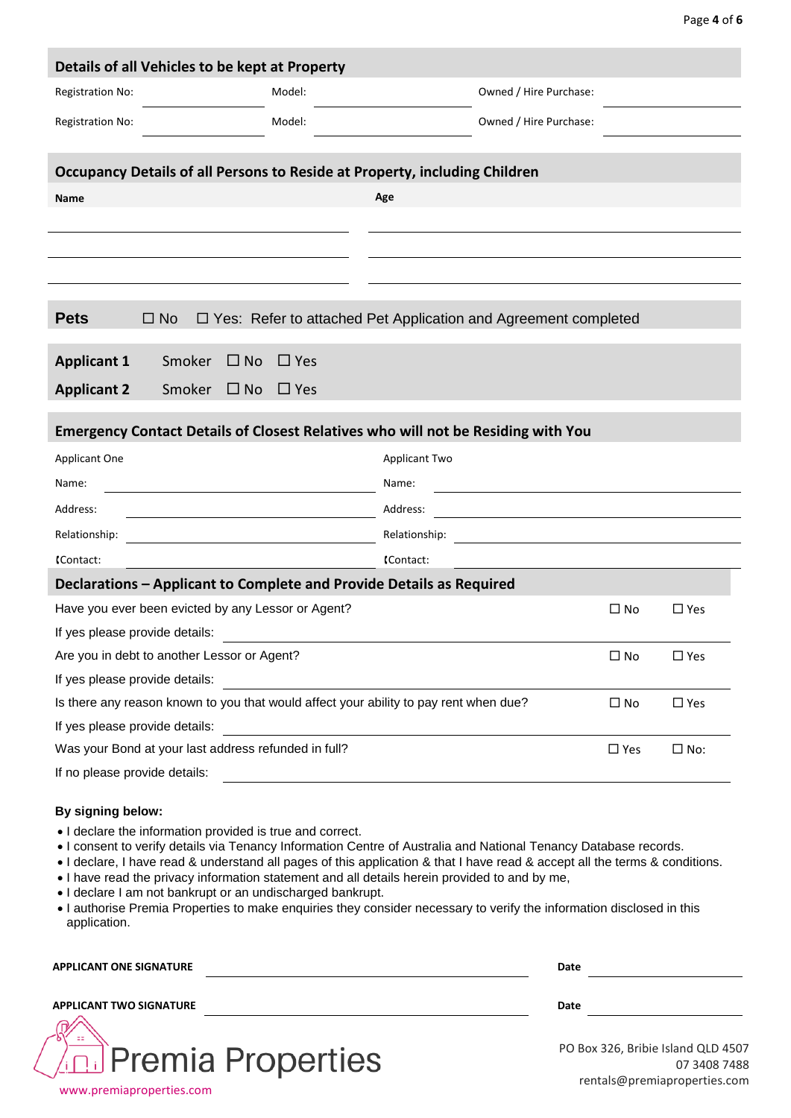| Details of all Vehicles to be kept at Property                                                                                                                                                                                                                                                                                    |            |                      |                                                                       |               |               |  |
|-----------------------------------------------------------------------------------------------------------------------------------------------------------------------------------------------------------------------------------------------------------------------------------------------------------------------------------|------------|----------------------|-----------------------------------------------------------------------|---------------|---------------|--|
| <b>Registration No:</b>                                                                                                                                                                                                                                                                                                           | Model:     |                      | Owned / Hire Purchase:                                                |               |               |  |
| Registration No:                                                                                                                                                                                                                                                                                                                  | Model:     |                      | Owned / Hire Purchase:                                                |               |               |  |
|                                                                                                                                                                                                                                                                                                                                   |            |                      |                                                                       |               |               |  |
| Occupancy Details of all Persons to Reside at Property, including Children                                                                                                                                                                                                                                                        |            |                      |                                                                       |               |               |  |
| <b>Name</b>                                                                                                                                                                                                                                                                                                                       |            | Age                  |                                                                       |               |               |  |
|                                                                                                                                                                                                                                                                                                                                   |            |                      |                                                                       |               |               |  |
|                                                                                                                                                                                                                                                                                                                                   |            |                      |                                                                       |               |               |  |
|                                                                                                                                                                                                                                                                                                                                   |            |                      |                                                                       |               |               |  |
|                                                                                                                                                                                                                                                                                                                                   |            |                      |                                                                       |               |               |  |
| <b>Pets</b><br>$\Box$ No                                                                                                                                                                                                                                                                                                          |            |                      | $\Box$ Yes: Refer to attached Pet Application and Agreement completed |               |               |  |
|                                                                                                                                                                                                                                                                                                                                   |            |                      |                                                                       |               |               |  |
| <b>Applicant 1</b><br>Smoker<br>$\Box$ No                                                                                                                                                                                                                                                                                         | $\Box$ Yes |                      |                                                                       |               |               |  |
| <b>Applicant 2</b><br>Smoker $\Box$ No                                                                                                                                                                                                                                                                                            | $\Box$ Yes |                      |                                                                       |               |               |  |
| <b>Emergency Contact Details of Closest Relatives who will not be Residing with You</b>                                                                                                                                                                                                                                           |            |                      |                                                                       |               |               |  |
| Applicant One                                                                                                                                                                                                                                                                                                                     |            | <b>Applicant Two</b> |                                                                       |               |               |  |
| Name:                                                                                                                                                                                                                                                                                                                             |            | Name:                |                                                                       |               |               |  |
| Address:                                                                                                                                                                                                                                                                                                                          |            | Address:             |                                                                       |               |               |  |
| Relationship:                                                                                                                                                                                                                                                                                                                     |            | Relationship:        |                                                                       |               |               |  |
| (Contact:                                                                                                                                                                                                                                                                                                                         |            | (Contact:            |                                                                       |               |               |  |
| Declarations - Applicant to Complete and Provide Details as Required                                                                                                                                                                                                                                                              |            |                      |                                                                       |               |               |  |
| Have you ever been evicted by any Lessor or Agent?                                                                                                                                                                                                                                                                                |            |                      |                                                                       | $\square$ No  | $\square$ Yes |  |
| If yes please provide details:                                                                                                                                                                                                                                                                                                    |            |                      |                                                                       |               |               |  |
| Are you in debt to another Lessor or Agent?                                                                                                                                                                                                                                                                                       |            |                      |                                                                       | $\square$ No  | $\square$ Yes |  |
| If yes please provide details:                                                                                                                                                                                                                                                                                                    |            |                      |                                                                       |               |               |  |
| Is there any reason known to you that would affect your ability to pay rent when due?<br>$\square$ No<br>$\square$ Yes                                                                                                                                                                                                            |            |                      |                                                                       |               |               |  |
| If yes please provide details:                                                                                                                                                                                                                                                                                                    |            |                      |                                                                       |               |               |  |
| Was your Bond at your last address refunded in full?                                                                                                                                                                                                                                                                              |            |                      |                                                                       | $\square$ Yes | $\square$ No: |  |
| If no please provide details:                                                                                                                                                                                                                                                                                                     |            |                      |                                                                       |               |               |  |
| By signing below:<br>. I declare the information provided is true and correct.<br>. I consent to verify details via Tenancy Information Centre of Australia and National Tenancy Database records.<br>. I declare, I have read & understand all pages of this application & that I have read & accept all the terms & conditions. |            |                      |                                                                       |               |               |  |

- I have read the privacy information statement and all details herein provided to and by me,
- I declare I am not bankrupt or an undischarged bankrupt.

Ţ

• I authorise Premia Properties to make enquiries they consider necessary to verify the information disclosed in this application.

| <b>APPLICANT ONE SIGNATURE</b>                           | Date                                                                               |
|----------------------------------------------------------|------------------------------------------------------------------------------------|
| <b>APPLICANT TWO SIGNATURE</b>                           | Date                                                                               |
| <b>And Premia Properties</b><br>www.premiaproperties.com | PO Box 326, Bribie Island QLD 4507<br>07 3408 7488<br>rentals@premiaproperties.com |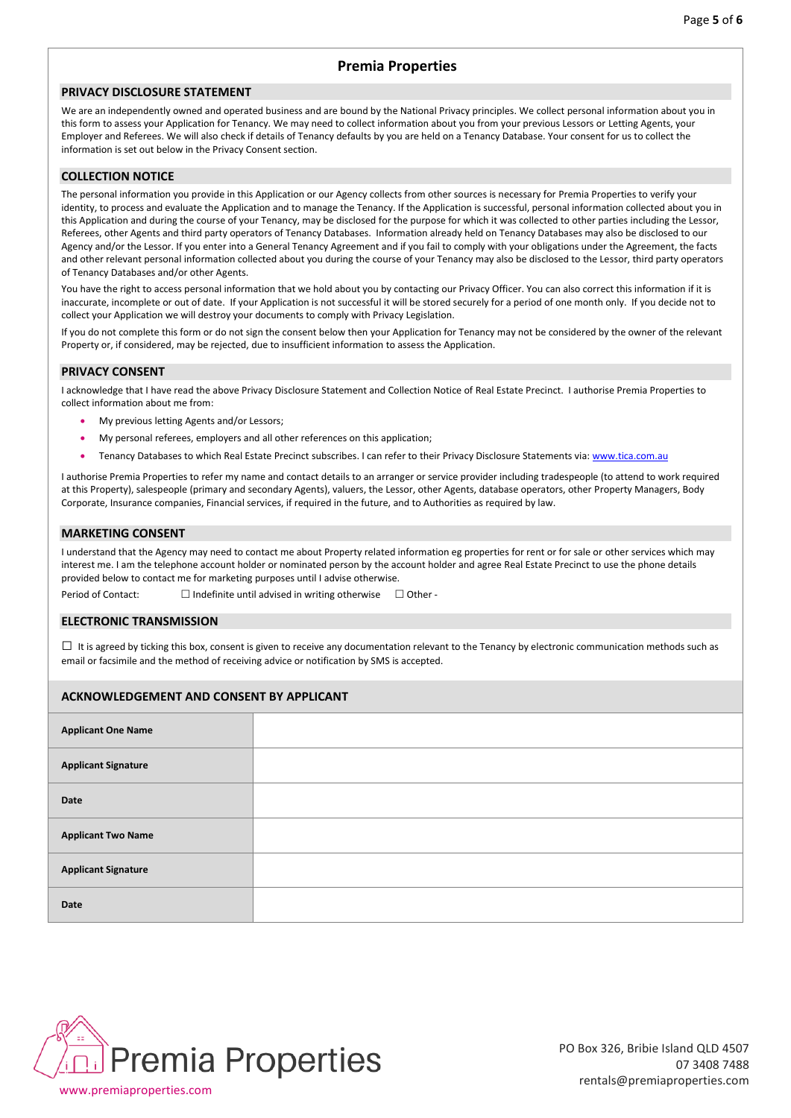### **Premia Properties**

#### **PRIVACY DISCLOSURE STATEMENT**

We are an independently owned and operated business and are bound by the National Privacy principles. We collect personal information about you in this form to assess your Application for Tenancy. We may need to collect information about you from your previous Lessors or Letting Agents, your Employer and Referees. We will also check if details of Tenancy defaults by you are held on a Tenancy Database. Your consent for us to collect the information is set out below in the Privacy Consent section.

#### **COLLECTION NOTICE**

The personal information you provide in this Application or our Agency collects from other sources is necessary for Premia Properties to verify your identity, to process and evaluate the Application and to manage the Tenancy. If the Application is successful, personal information collected about you in this Application and during the course of your Tenancy, may be disclosed for the purpose for which it was collected to other parties including the Lessor, Referees, other Agents and third party operators of Tenancy Databases. Information already held on Tenancy Databases may also be disclosed to our Agency and/or the Lessor. If you enter into a General Tenancy Agreement and if you fail to comply with your obligations under the Agreement, the facts and other relevant personal information collected about you during the course of your Tenancy may also be disclosed to the Lessor, third party operators of Tenancy Databases and/or other Agents.

You have the right to access personal information that we hold about you by contacting our Privacy Officer. You can also correct this information if it is inaccurate, incomplete or out of date. If your Application is not successful it will be stored securely for a period of one month only. If you decide not to collect your Application we will destroy your documents to comply with Privacy Legislation.

If you do not complete this form or do not sign the consent below then your Application for Tenancy may not be considered by the owner of the relevant Property or, if considered, may be rejected, due to insufficient information to assess the Application.

#### **PRIVACY CONSENT**

I acknowledge that I have read the above Privacy Disclosure Statement and Collection Notice of Real Estate Precinct. I authorise Premia Properties to collect information about me from:

- My previous letting Agents and/or Lessors;
- My personal referees, employers and all other references on this application;
- Tenancy Databases to which Real Estate Precinct subscribes. I can refer to their Privacy Disclosure Statements via[: www.tica.com.au](http://www.tica.com.au/)

I authorise Premia Properties to refer my name and contact details to an arranger or service provider including tradespeople (to attend to work required at this Property), salespeople (primary and secondary Agents), valuers, the Lessor, other Agents, database operators, other Property Managers, Body Corporate, Insurance companies, Financial services, if required in the future, and to Authorities as required by law.

#### **MARKETING CONSENT**

I understand that the Agency may need to contact me about Property related information eg properties for rent or for sale or other services which may interest me. I am the telephone account holder or nominated person by the account holder and agree Real Estate Precinct to use the phone details provided below to contact me for marketing purposes until I advise otherwise.

Period of Contact:  $\Box$  Indefinite until advised in writing otherwise  $\Box$  Other -

#### **ELECTRONIC TRANSMISSION**

 $\Box$  It is agreed by ticking this box, consent is given to receive any documentation relevant to the Tenancy by electronic communication methods such as email or facsimile and the method of receiving advice or notification by SMS is accepted.

#### **ACKNOWLEDGEMENT AND CONSENT BY APPLICANT**

| <b>Applicant One Name</b>  |  |
|----------------------------|--|
| <b>Applicant Signature</b> |  |
| <b>Date</b>                |  |
| <b>Applicant Two Name</b>  |  |
| <b>Applicant Signature</b> |  |
| <b>Date</b>                |  |